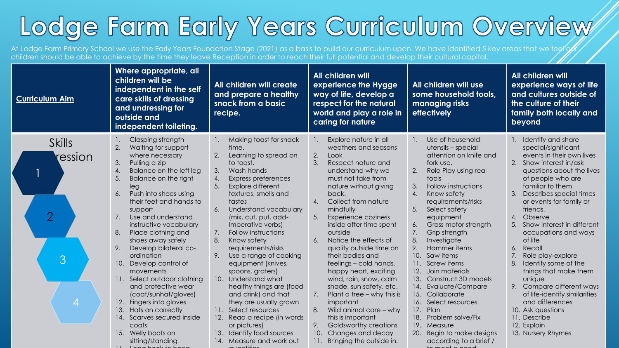## Lodge Farm Early Years Curriculum Overview

At Lodge Farm Primary School we use the Early Years Foundation Stage (2021) as a basis to build our curriculum upon. We have identified 5 key areas that we feel of children should be able to achieve by the time they leave Reception in order to reach their full potential and develop their cultural capital.

| <b>Curriculum Aim</b>                                | Where appropriate, all<br>children will be<br>independent in the self<br>care skills of dressing<br>and undressing for<br>outside and<br>independent toileting.                                                                                                                                                                                                                                                                                                                                                                                                                                                                                                       | All children will create<br>and prepare a healthy<br>snack from a basic<br>recipe.                                                                                                                                                                                                                                                                                                                                                                                                                                                                                                                                                                                | All children will<br>experience the Hygge<br>way of life, develop a<br>respect for the natural<br>world and play a role in<br>caring for nature                                                                                                                                                                                                                                                                                                                                                                                                                                                                                                                                           | All children will use<br>some household tools,<br>managing risks<br>effectively                                                                                                                                                                                                                                                                                                                                                                                                                                                                                                                                                      | All children will<br>experience ways of life<br>and cultures outside of<br>the culture of their<br>family both locally and<br>beyond                                                                                                                                                                                                                                                                                                                                                                                                                                                                        |
|------------------------------------------------------|-----------------------------------------------------------------------------------------------------------------------------------------------------------------------------------------------------------------------------------------------------------------------------------------------------------------------------------------------------------------------------------------------------------------------------------------------------------------------------------------------------------------------------------------------------------------------------------------------------------------------------------------------------------------------|-------------------------------------------------------------------------------------------------------------------------------------------------------------------------------------------------------------------------------------------------------------------------------------------------------------------------------------------------------------------------------------------------------------------------------------------------------------------------------------------------------------------------------------------------------------------------------------------------------------------------------------------------------------------|-------------------------------------------------------------------------------------------------------------------------------------------------------------------------------------------------------------------------------------------------------------------------------------------------------------------------------------------------------------------------------------------------------------------------------------------------------------------------------------------------------------------------------------------------------------------------------------------------------------------------------------------------------------------------------------------|--------------------------------------------------------------------------------------------------------------------------------------------------------------------------------------------------------------------------------------------------------------------------------------------------------------------------------------------------------------------------------------------------------------------------------------------------------------------------------------------------------------------------------------------------------------------------------------------------------------------------------------|-------------------------------------------------------------------------------------------------------------------------------------------------------------------------------------------------------------------------------------------------------------------------------------------------------------------------------------------------------------------------------------------------------------------------------------------------------------------------------------------------------------------------------------------------------------------------------------------------------------|
| <b>Skills</b><br>ression<br>$\overline{2}$<br>3<br>4 | Clasping strength<br>$\overline{2}$ .<br>Waiting for support<br>where necessary<br>3.<br>Pulling a zip<br>4.<br>Balance on the left leg<br>5.<br>Balance on the right<br>leg<br>6.<br>Push into shoes using<br>their feet and hands to<br>support<br>7.<br>Use and understand<br>instructive vocabulary<br>Place clothing and<br>8.<br>shoes away safely<br>9.<br>Develop bilateral co-<br>ordination<br>10. Develop control of<br>movements<br>11. Select outdoor clothing<br>and protective wear<br>(coat/sunhat/gloves)<br>12. Fingers into gloves<br>13.<br>Hats on correctly<br>Scarves secured inside<br>14.<br>coats<br>15. Welly boots on<br>sitting/standing | Making toast for snack<br>1.<br>time.<br>2.<br>Learning to spread on<br>to toast.<br>Wash hands<br>3.<br>Express preferences<br>4.<br>Explore different<br>5.<br>textures, smells and<br>tastes<br>6.<br>Understand vocabulary<br>(mix, cut, put, add-<br>Imperative verbs)<br>Follow instructions<br>7.<br>8.<br>Know safety<br>requirements/risks<br>Use a range of cooking<br>9.<br>equipment (knives,<br>spoons, graters)<br>10. Understand what<br>healthy things are (food<br>and drink) and that<br>they are usually grown<br>11. Select resources<br>12. Read a recipe (in words<br>or pictures)<br>13. Identify food sources<br>14. Measure and work out | Explore nature in all<br>1.<br>weathers and seasons<br>2.<br>Look<br>3.<br>Respect nature and<br>understand why we<br>must not take from<br>nature without giving<br>back.<br>Collect from nature<br>$\mathbf{A}$ .<br>mindfully<br>Experience coziness<br>inside after time spent<br>outside<br>Notice the effects of<br>6.<br>quality outside time on<br>their bodies and<br>feelings - cold hands,<br>happy heart, exciting<br>wind, rain, snow, calm<br>shade, sun safety, etc.<br>7.<br>Plant a tree $-$ why this is<br>important<br>8.<br>Wild animal care - why<br>this is important<br>9.<br>Goldsworthy creations<br>10.<br>Changes and decay<br>Bringing the outside in.<br>11. | Use of household<br>utensils - special<br>attention on knife and<br>fork use.<br>2.<br>Role Play using real<br>tools<br>Follow instructions<br>3.<br>Know safety<br>$\mathbf{A}$ .<br>requirements/risks<br>5.<br>Select safety<br>equipment<br>Gross motor strength<br>6.<br>7.<br>Grip strength<br>8.<br>Investigate<br>9.<br>Hammer items<br>10. Saw items<br>11. Screw items<br>Join materials<br>12.<br>Construct 3D models<br>13.<br>Evaluate/Compare<br>14.<br>15.<br>Collaborate<br>16. Select resources<br>Plan<br>17.<br>18.<br>Problem solve/Fix<br>19.<br>Measure<br>20. Begin to make designs<br>according to a brief / | 1. Identify and share<br>special/significant<br>events in their own lives<br>2. Show interest in/ask<br>questions about the lives<br>of people who are<br>familiar to them<br>3.<br>Describes special times<br>or events for family or<br>friends.<br>Observe<br>4.<br>Show interest in different<br>5.<br>occupations and ways<br>of life<br>Recall<br>6.<br>Role play-explore<br>8.<br>Identify some of the<br>things that make them<br>unique<br>9. Compare different ways<br>of life-identify similarities<br>and differences<br>10. Ask questions<br>11. Describe<br>12. Explain<br>13. Nursery Rhymes |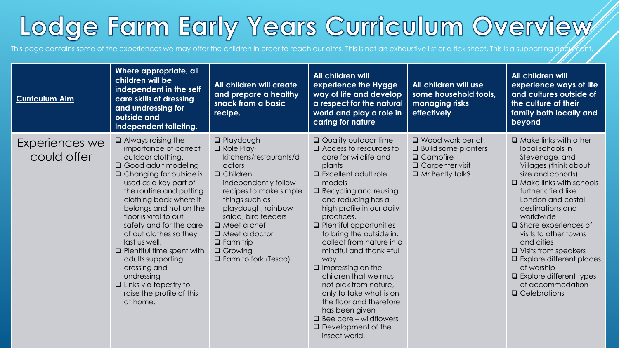## Lodge Farm Early Years Curriculum Overview

This page contains some of the experiences we may offer the children in order to reach our aims. This is not an exhaustive list or a tick sheet. This is a supporting document.

| <b>Curriculum Aim</b>         | Where appropriate, all<br>children will be<br>independent in the self<br>care skills of dressing<br>and undressing for<br>outside and<br>independent toileting.                                                                                                                                                                                                                                                                                                                                           | All children will create<br>and prepare a healthy<br>snack from a basic<br>recipe.                                                                                                                                                                                                                                               | All children will<br>experience the Hygge<br>way of life and develop<br>a respect for the natural<br>world and play a role in<br>caring for nature                                                                                                                                                                                                                                                                                                                                                                                                                                                        | All children will use<br>some household tools,<br>managing risks<br>effectively                                             | All children will<br>experience ways of life<br>and cultures outside of<br>the culture of their<br>family both locally and<br>beyond                                                                                                                                                                                                                                                                                                                                 |
|-------------------------------|-----------------------------------------------------------------------------------------------------------------------------------------------------------------------------------------------------------------------------------------------------------------------------------------------------------------------------------------------------------------------------------------------------------------------------------------------------------------------------------------------------------|----------------------------------------------------------------------------------------------------------------------------------------------------------------------------------------------------------------------------------------------------------------------------------------------------------------------------------|-----------------------------------------------------------------------------------------------------------------------------------------------------------------------------------------------------------------------------------------------------------------------------------------------------------------------------------------------------------------------------------------------------------------------------------------------------------------------------------------------------------------------------------------------------------------------------------------------------------|-----------------------------------------------------------------------------------------------------------------------------|----------------------------------------------------------------------------------------------------------------------------------------------------------------------------------------------------------------------------------------------------------------------------------------------------------------------------------------------------------------------------------------------------------------------------------------------------------------------|
| Experiences we<br>could offer | $\Box$ Always raising the<br>importance of correct<br>outdoor clothing.<br>□ Good adult modeling<br>$\Box$ Changing for outside is<br>used as a key part of<br>the routine and putting<br>clothing back where it<br>belongs and not on the<br>floor is vital to out<br>safety and for the care<br>of out clothes so they<br>last us well.<br>$\Box$ Plentiful time spent with<br>adults supporting<br>dressing and<br>undressing<br>$\Box$ Links via tapestry to<br>raise the profile of this<br>at home. | $\Box$ Playdough<br>$\Box$ Role Play-<br>kitchens/restaurants/d<br>octors<br>$\Box$ Children<br>independently follow<br>recipes to make simple<br>things such as<br>playdough, rainbow<br>salad, bird feeders<br>$\Box$ Meet a chef<br>$\Box$ Meet a doctor<br>$\Box$ Farm trip<br>$\Box$ Growing<br>$\Box$ Farm to fork (Tesco) | $\Box$ Quality outdoor time<br>$\Box$ Access to resources to<br>care for wildlife and<br>plants<br>$\Box$ Excellent adult role<br>models<br>$\Box$ Recycling and reusing<br>and reducing has a<br>high profile in our daily<br>practices.<br>$\Box$ Plentiful opportunities<br>to bring the outside in,<br>collect from nature in a<br>mindful and thank =ful<br>way<br>$\Box$ Impressing on the<br>children that we must<br>not pick from nature,<br>only to take what is on<br>the floor and therefore<br>has been given<br>$\Box$ Bee care – wildflowers<br>$\Box$ Development of the<br>insect world. | $\Box$ Wood work bench<br>$\Box$ Build some planters<br>$\Box$ Campfire<br>$\Box$ Carpenter visit<br>$\Box$ Mr Bently talk? | $\Box$ Make links with other<br>local schools in<br>Stevenage, and<br>Villages (think about<br>size and cohorts)<br>$\Box$ Make links with schools<br>further afield like<br>London and costal<br>destinations and<br>worldwide<br>$\Box$ Share experiences of<br>visits to other towns<br>and cities<br>$\Box$ Visits from speakers<br><b>Q</b> Explore different places<br>of worship<br>$\Box$ Explore different types<br>of accommodation<br>$\Box$ Celebrations |